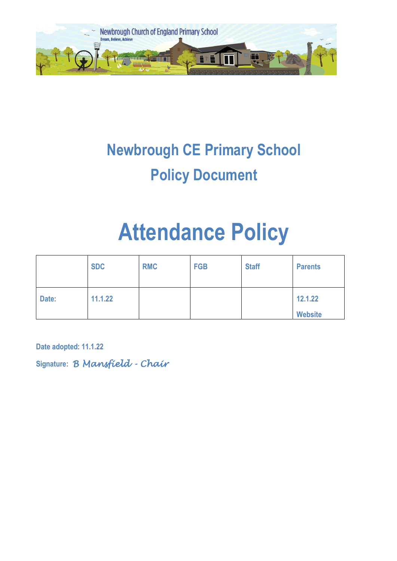

## **Newbrough CE Primary School Policy Document**

# **Attendance Policy**

|       | <b>SDC</b> | <b>RMC</b> | <b>FGB</b> | <b>Staff</b> | <b>Parents</b>            |
|-------|------------|------------|------------|--------------|---------------------------|
| Date: | 11.1.22    |            |            |              | 12.1.22<br><b>Website</b> |

**Date adopted: 11.1.22**

**Signature:** *B Mansfield - Chair*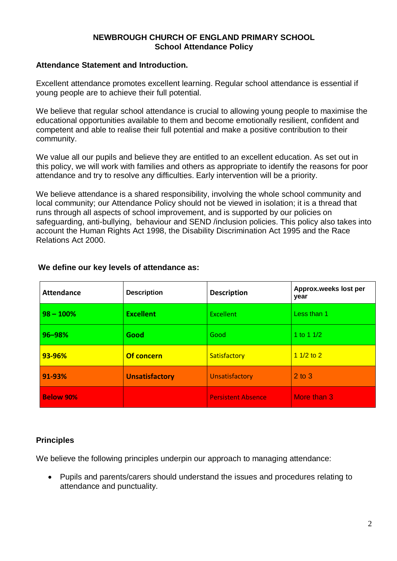#### **NEWBROUGH CHURCH OF ENGLAND PRIMARY SCHOOL School Attendance Policy**

#### **Attendance Statement and Introduction.**

Excellent attendance promotes excellent learning. Regular school attendance is essential if young people are to achieve their full potential.

We believe that regular school attendance is crucial to allowing young people to maximise the educational opportunities available to them and become emotionally resilient, confident and competent and able to realise their full potential and make a positive contribution to their community.

We value all our pupils and believe they are entitled to an excellent education. As set out in this policy, we will work with families and others as appropriate to identify the reasons for poor attendance and try to resolve any difficulties. Early intervention will be a priority.

We believe attendance is a shared responsibility, involving the whole school community and local community; our Attendance Policy should not be viewed in isolation; it is a thread that runs through all aspects of school improvement, and is supported by our policies on safeguarding, anti-bullying, behaviour and SEND /inclusion policies. This policy also takes into account the Human Rights Act 1998, the Disability Discrimination Act 1995 and the Race Relations Act 2000.

| <b>Attendance</b> | <b>Description</b>    | <b>Description</b>        | Approx.weeks lost per<br>year |
|-------------------|-----------------------|---------------------------|-------------------------------|
| $98 - 100%$       | <b>Excellent</b>      | Excellent                 | Less than 1                   |
| 96-98%            | Good                  | Good                      | 1 to 1 $1/2$                  |
| 93-96%            | <b>Of concern</b>     | Satisfactory              | $11/2$ to 2                   |
| 91-93%            | <b>Unsatisfactory</b> | Unsatisfactory            | $2$ to $3$                    |
| <b>Below 90%</b>  |                       | <b>Persistent Absence</b> | More than 3                   |

#### **We define our key levels of attendance as:**

#### **Principles**

We believe the following principles underpin our approach to managing attendance:

 Pupils and parents/carers should understand the issues and procedures relating to attendance and punctuality.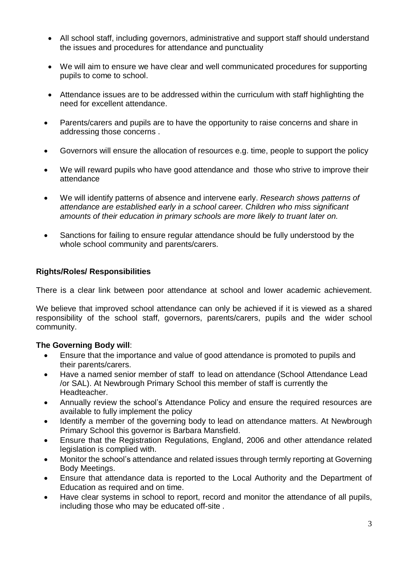- All school staff, including governors, administrative and support staff should understand the issues and procedures for attendance and punctuality
- We will aim to ensure we have clear and well communicated procedures for supporting pupils to come to school.
- Attendance issues are to be addressed within the curriculum with staff highlighting the need for excellent attendance.
- Parents/carers and pupils are to have the opportunity to raise concerns and share in addressing those concerns .
- Governors will ensure the allocation of resources e.g. time, people to support the policy
- We will reward pupils who have good attendance and those who strive to improve their attendance
- We will identify patterns of absence and intervene early. *Research shows patterns of attendance are established early in a school career. Children who miss significant amounts of their education in primary schools are more likely to truant later on.*
- Sanctions for failing to ensure regular attendance should be fully understood by the whole school community and parents/carers.

#### **Rights/Roles/ Responsibilities**

There is a clear link between poor attendance at school and lower academic achievement.

We believe that improved school attendance can only be achieved if it is viewed as a shared responsibility of the school staff, governors, parents/carers, pupils and the wider school community.

#### **The Governing Body will**:

- Ensure that the importance and value of good attendance is promoted to pupils and their parents/carers.
- Have a named senior member of staff to lead on attendance (School Attendance Lead /or SAL). At Newbrough Primary School this member of staff is currently the Headteacher.
- Annually review the school's Attendance Policy and ensure the required resources are available to fully implement the policy
- Identify a member of the governing body to lead on attendance matters. At Newbrough Primary School this governor is Barbara Mansfield.
- Ensure that the Registration Regulations, England, 2006 and other attendance related legislation is complied with.
- Monitor the school's attendance and related issues through termly reporting at Governing Body Meetings.
- Ensure that attendance data is reported to the Local Authority and the Department of Education as required and on time.
- Have clear systems in school to report, record and monitor the attendance of all pupils, including those who may be educated off-site .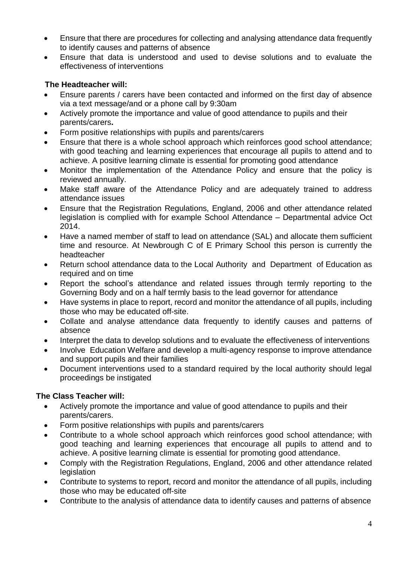- Ensure that there are procedures for collecting and analysing attendance data frequently to identify causes and patterns of absence
- Ensure that data is understood and used to devise solutions and to evaluate the effectiveness of interventions

#### **The Headteacher will:**

- Ensure parents / carers have been contacted and informed on the first day of absence via a text message/and or a phone call by 9:30am
- Actively promote the importance and value of good attendance to pupils and their parents/carers**.**
- Form positive relationships with pupils and parents/carers
- Ensure that there is a whole school approach which reinforces good school attendance; with good teaching and learning experiences that encourage all pupils to attend and to achieve. A positive learning climate is essential for promoting good attendance
- Monitor the implementation of the Attendance Policy and ensure that the policy is reviewed annually.
- Make staff aware of the Attendance Policy and are adequately trained to address attendance issues
- Ensure that the Registration Regulations, England, 2006 and other attendance related legislation is complied with for example School Attendance – Departmental advice Oct 2014.
- Have a named member of staff to lead on attendance (SAL) and allocate them sufficient time and resource. At Newbrough C of E Primary School this person is currently the headteacher
- Return school attendance data to the Local Authority and Department of Education as required and on time
- Report the school's attendance and related issues through termly reporting to the Governing Body and on a half termly basis to the lead governor for attendance
- Have systems in place to report, record and monitor the attendance of all pupils, including those who may be educated off-site.
- Collate and analyse attendance data frequently to identify causes and patterns of absence
- Interpret the data to develop solutions and to evaluate the effectiveness of interventions
- Involve Education Welfare and develop a multi-agency response to improve attendance and support pupils and their families
- Document interventions used to a standard required by the local authority should legal proceedings be instigated

#### **The Class Teacher will:**

- Actively promote the importance and value of good attendance to pupils and their parents/carers.
- Form positive relationships with pupils and parents/carers
- Contribute to a whole school approach which reinforces good school attendance; with good teaching and learning experiences that encourage all pupils to attend and to achieve. A positive learning climate is essential for promoting good attendance.
- Comply with the Registration Regulations, England, 2006 and other attendance related legislation
- Contribute to systems to report, record and monitor the attendance of all pupils, including those who may be educated off-site
- Contribute to the analysis of attendance data to identify causes and patterns of absence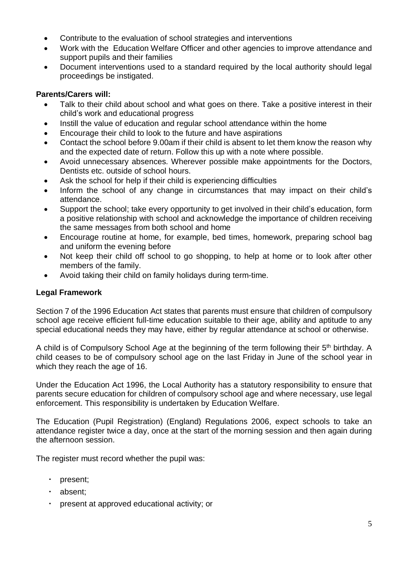- Contribute to the evaluation of school strategies and interventions
- Work with the Education Welfare Officer and other agencies to improve attendance and support pupils and their families
- Document interventions used to a standard required by the local authority should legal proceedings be instigated.

#### **Parents/Carers will:**

- Talk to their child about school and what goes on there. Take a positive interest in their child's work and educational progress
- Instill the value of education and regular school attendance within the home
- Encourage their child to look to the future and have aspirations
- Contact the school before 9.00am if their child is absent to let them know the reason why and the expected date of return. Follow this up with a note where possible.
- Avoid unnecessary absences. Wherever possible make appointments for the Doctors, Dentists etc. outside of school hours.
- Ask the school for help if their child is experiencing difficulties
- Inform the school of any change in circumstances that may impact on their child's attendance.
- Support the school: take every opportunity to get involved in their child's education, form a positive relationship with school and acknowledge the importance of children receiving the same messages from both school and home
- Encourage routine at home, for example, bed times, homework, preparing school bag and uniform the evening before
- Not keep their child off school to go shopping, to help at home or to look after other members of the family.
- Avoid taking their child on family holidays during term-time.

#### **Legal Framework**

Section 7 of the 1996 Education Act states that parents must ensure that children of compulsory school age receive efficient full-time education suitable to their age, ability and aptitude to any special educational needs they may have, either by regular attendance at school or otherwise.

A child is of Compulsory School Age at the beginning of the term following their 5<sup>th</sup> birthday. A child ceases to be of compulsory school age on the last Friday in June of the school year in which they reach the age of 16.

Under the Education Act 1996, the Local Authority has a statutory responsibility to ensure that parents secure education for children of compulsory school age and where necessary, use legal enforcement. This responsibility is undertaken by Education Welfare.

The Education (Pupil Registration) (England) Regulations 2006, expect schools to take an attendance register twice a day, once at the start of the morning session and then again during the afternoon session.

The register must record whether the pupil was:

- present;
- · absent;
- present at approved educational activity; or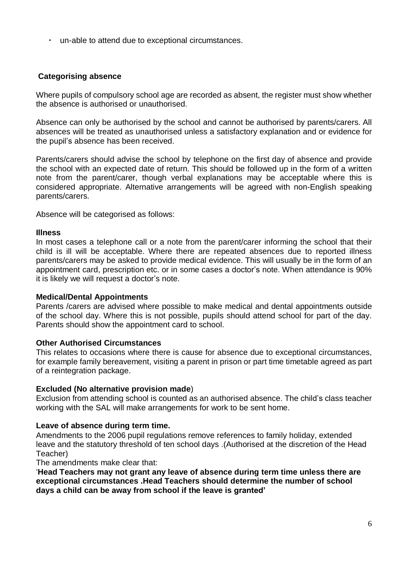▪ un-able to attend due to exceptional circumstances.

#### **Categorising absence**

Where pupils of compulsory school age are recorded as absent, the register must show whether the absence is authorised or unauthorised.

Absence can only be authorised by the school and cannot be authorised by parents/carers. All absences will be treated as unauthorised unless a satisfactory explanation and or evidence for the pupil's absence has been received.

Parents/carers should advise the school by telephone on the first day of absence and provide the school with an expected date of return. This should be followed up in the form of a written note from the parent/carer, though verbal explanations may be acceptable where this is considered appropriate. Alternative arrangements will be agreed with non-English speaking parents/carers.

Absence will be categorised as follows:

#### **Illness**

In most cases a telephone call or a note from the parent/carer informing the school that their child is ill will be acceptable. Where there are repeated absences due to reported illness parents/carers may be asked to provide medical evidence. This will usually be in the form of an appointment card, prescription etc. or in some cases a doctor's note. When attendance is 90% it is likely we will request a doctor's note.

#### **Medical/Dental Appointments**

Parents /carers are advised where possible to make medical and dental appointments outside of the school day. Where this is not possible, pupils should attend school for part of the day. Parents should show the appointment card to school.

#### **Other Authorised Circumstances**

This relates to occasions where there is cause for absence due to exceptional circumstances, for example family bereavement, visiting a parent in prison or part time timetable agreed as part of a reintegration package.

#### **Excluded (No alternative provision made**)

Exclusion from attending school is counted as an authorised absence. The child's class teacher working with the SAL will make arrangements for work to be sent home.

#### **Leave of absence during term time.**

Amendments to the 2006 pupil regulations remove references to family holiday, extended leave and the statutory threshold of ten school days .(Authorised at the discretion of the Head Teacher)

The amendments make clear that:

'**Head Teachers may not grant any leave of absence during term time unless there are exceptional circumstances .Head Teachers should determine the number of school days a child can be away from school if the leave is granted'**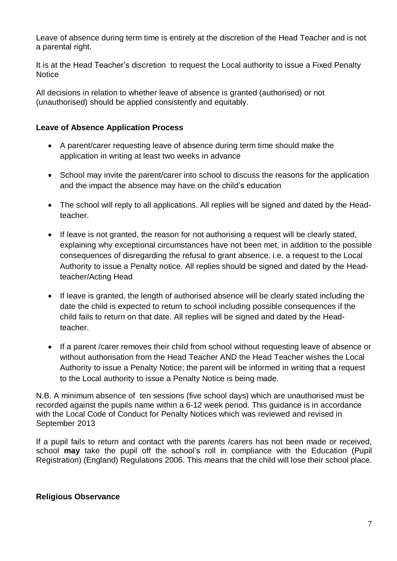Leave of absence during term time is entirely at the discretion of the Head Teacher and is not a parental right.

It is at the Head Teacher's discretion to request the Local authority to issue a Fixed Penalty **Notice** 

All decisions in relation to whether leave of absence is granted (authorised) or not (unauthorised) should be applied consistently and equitably.

#### **Leave of Absence Application Process**

- A parent/carer requesting leave of absence during term time should make the application in writing at least two weeks in advance
- School may invite the parent/carer into school to discuss the reasons for the application and the impact the absence may have on the child's education
- The school will reply to all applications. All replies will be signed and dated by the Headteacher.
- If leave is not granted, the reason for not authorising a request will be clearly stated, explaining why exceptional circumstances have not been met, in addition to the possible consequences of disregarding the refusal to grant absence. i.e. a request to the Local Authority to issue a Penalty notice. All replies should be signed and dated by the Headteacher/Acting Head
- If leave is granted, the length of authorised absence will be clearly stated including the date the child is expected to return to school including possible consequences if the child fails to return on that date. All replies will be signed and dated by the Headteacher.
- If a parent /carer removes their child from school without requesting leave of absence or without authorisation from the Head Teacher AND the Head Teacher wishes the Local Authority to issue a Penalty Notice; the parent will be informed in writing that a request to the Local authority to issue a Penalty Notice is being made.

N.B. A minimum absence of ten sessions (five school days) which are unauthorised must be recorded against the pupils name within a 6-12 week period. This guidance is in accordance with the Local Code of Conduct for Penalty Notices which was reviewed and revised in September 2013

If a pupil fails to return and contact with the parents /carers has not been made or received, school **may** take the pupil off the school's roll in compliance with the Education (Pupil Registration) (England) Regulations 2006. This means that the child will lose their school place.

#### **Religious Observance**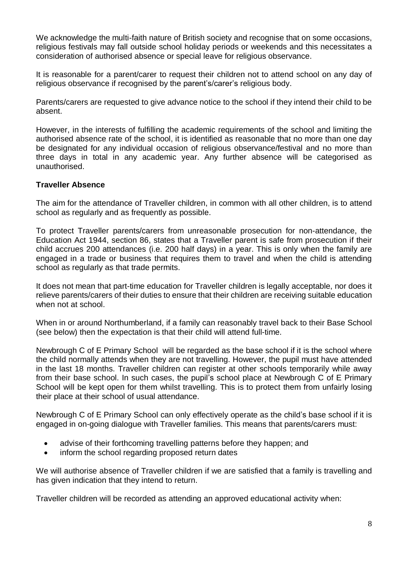We acknowledge the multi-faith nature of British society and recognise that on some occasions, religious festivals may fall outside school holiday periods or weekends and this necessitates a consideration of authorised absence or special leave for religious observance.

It is reasonable for a parent/carer to request their children not to attend school on any day of religious observance if recognised by the parent's/carer's religious body.

Parents/carers are requested to give advance notice to the school if they intend their child to be absent.

However, in the interests of fulfilling the academic requirements of the school and limiting the authorised absence rate of the school, it is identified as reasonable that no more than one day be designated for any individual occasion of religious observance/festival and no more than three days in total in any academic year. Any further absence will be categorised as unauthorised.

#### **Traveller Absence**

The aim for the attendance of Traveller children, in common with all other children, is to attend school as regularly and as frequently as possible.

To protect Traveller parents/carers from unreasonable prosecution for non-attendance, the Education Act 1944, section 86, states that a Traveller parent is safe from prosecution if their child accrues 200 attendances (i.e. 200 half days) in a year. This is only when the family are engaged in a trade or business that requires them to travel and when the child is attending school as regularly as that trade permits.

It does not mean that part-time education for Traveller children is legally acceptable, nor does it relieve parents/carers of their duties to ensure that their children are receiving suitable education when not at school.

When in or around Northumberland, if a family can reasonably travel back to their Base School (see below) then the expectation is that their child will attend full-time.

Newbrough C of E Primary School will be regarded as the base school if it is the school where the child normally attends when they are not travelling. However, the pupil must have attended in the last 18 months. Traveller children can register at other schools temporarily while away from their base school. In such cases, the pupil's school place at Newbrough C of E Primary School will be kept open for them whilst travelling. This is to protect them from unfairly losing their place at their school of usual attendance.

Newbrough C of E Primary School can only effectively operate as the child's base school if it is engaged in on-going dialogue with Traveller families. This means that parents/carers must:

- advise of their forthcoming travelling patterns before they happen; and
- inform the school regarding proposed return dates

We will authorise absence of Traveller children if we are satisfied that a family is travelling and has given indication that they intend to return.

Traveller children will be recorded as attending an approved educational activity when: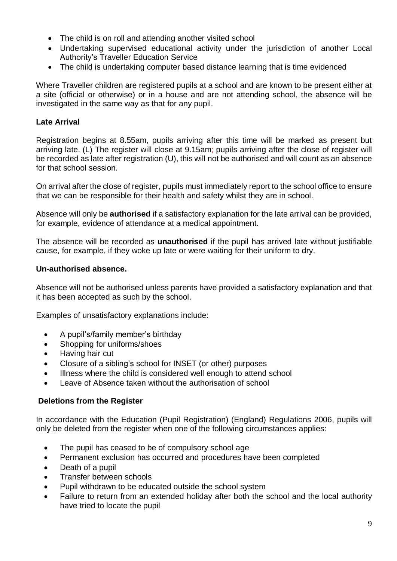- The child is on roll and attending another visited school
- Undertaking supervised educational activity under the jurisdiction of another Local Authority's Traveller Education Service
- The child is undertaking computer based distance learning that is time evidenced

Where Traveller children are registered pupils at a school and are known to be present either at a site (official or otherwise) or in a house and are not attending school, the absence will be investigated in the same way as that for any pupil.

#### **Late Arrival**

Registration begins at 8.55am, pupils arriving after this time will be marked as present but arriving late. (L) The register will close at 9.15am; pupils arriving after the close of register will be recorded as late after registration (U), this will not be authorised and will count as an absence for that school session.

On arrival after the close of register, pupils must immediately report to the school office to ensure that we can be responsible for their health and safety whilst they are in school.

Absence will only be **authorised** if a satisfactory explanation for the late arrival can be provided, for example, evidence of attendance at a medical appointment.

The absence will be recorded as **unauthorised** if the pupil has arrived late without justifiable cause, for example, if they woke up late or were waiting for their uniform to dry.

#### **Un-authorised absence.**

Absence will not be authorised unless parents have provided a satisfactory explanation and that it has been accepted as such by the school.

Examples of unsatisfactory explanations include:

- A pupil's/family member's birthday
- Shopping for uniforms/shoes
- Having hair cut
- Closure of a sibling's school for INSET (or other) purposes
- Illness where the child is considered well enough to attend school
- Leave of Absence taken without the authorisation of school

#### **Deletions from the Register**

In accordance with the Education (Pupil Registration) (England) Regulations 2006, pupils will only be deleted from the register when one of the following circumstances applies:

- The pupil has ceased to be of compulsory school age
- Permanent exclusion has occurred and procedures have been completed
- Death of a pupil
- Transfer between schools
- Pupil withdrawn to be educated outside the school system
- Failure to return from an extended holiday after both the school and the local authority have tried to locate the pupil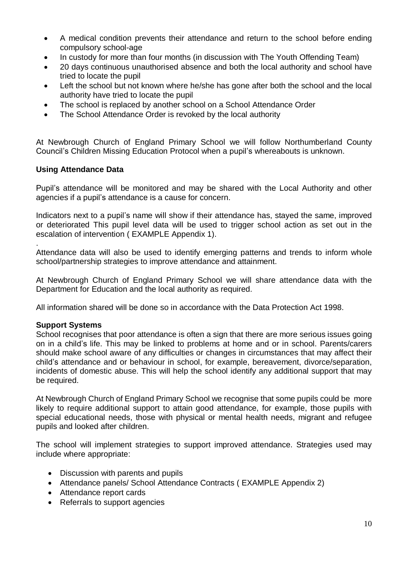- A medical condition prevents their attendance and return to the school before ending compulsory school-age
- In custody for more than four months (in discussion with The Youth Offending Team)
- 20 days continuous unauthorised absence and both the local authority and school have tried to locate the pupil
- Left the school but not known where he/she has gone after both the school and the local authority have tried to locate the pupil
- The school is replaced by another school on a School Attendance Order
- The School Attendance Order is revoked by the local authority

At Newbrough Church of England Primary School we will follow Northumberland County Council's Children Missing Education Protocol when a pupil's whereabouts is unknown.

#### **Using Attendance Data**

Pupil's attendance will be monitored and may be shared with the Local Authority and other agencies if a pupil's attendance is a cause for concern.

Indicators next to a pupil's name will show if their attendance has, stayed the same, improved or deteriorated This pupil level data will be used to trigger school action as set out in the escalation of intervention ( EXAMPLE Appendix 1).

. Attendance data will also be used to identify emerging patterns and trends to inform whole school/partnership strategies to improve attendance and attainment.

At Newbrough Church of England Primary School we will share attendance data with the Department for Education and the local authority as required.

All information shared will be done so in accordance with the Data Protection Act 1998.

#### **Support Systems**

School recognises that poor attendance is often a sign that there are more serious issues going on in a child's life. This may be linked to problems at home and or in school. Parents/carers should make school aware of any difficulties or changes in circumstances that may affect their child's attendance and or behaviour in school, for example, bereavement, divorce/separation, incidents of domestic abuse. This will help the school identify any additional support that may be required.

At Newbrough Church of England Primary School we recognise that some pupils could be more likely to require additional support to attain good attendance, for example, those pupils with special educational needs, those with physical or mental health needs, migrant and refugee pupils and looked after children.

The school will implement strategies to support improved attendance. Strategies used may include where appropriate:

- Discussion with parents and pupils
- Attendance panels/ School Attendance Contracts ( EXAMPLE Appendix 2)
- Attendance report cards
- Referrals to support agencies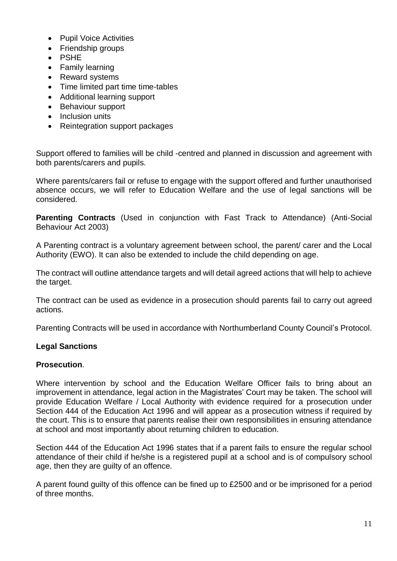- Pupil Voice Activities
- Friendship groups
- PSHE
- Family learning
- Reward systems
- Time limited part time time-tables
- Additional learning support
- Behaviour support
- Inclusion units
- Reintegration support packages

Support offered to families will be child -centred and planned in discussion and agreement with both parents/carers and pupils.

Where parents/carers fail or refuse to engage with the support offered and further unauthorised absence occurs, we will refer to Education Welfare and the use of legal sanctions will be considered.

**Parenting Contracts** (Used in conjunction with Fast Track to Attendance) (Anti-Social Behaviour Act 2003)

A Parenting contract is a voluntary agreement between school, the parent/ carer and the Local Authority (EWO). It can also be extended to include the child depending on age.

The contract will outline attendance targets and will detail agreed actions that will help to achieve the target.

The contract can be used as evidence in a prosecution should parents fail to carry out agreed actions.

Parenting Contracts will be used in accordance with Northumberland County Council's Protocol.

#### **Legal Sanctions**

#### **Prosecution**.

Where intervention by school and the Education Welfare Officer fails to bring about an improvement in attendance, legal action in the Magistrates' Court may be taken. The school will provide Education Welfare / Local Authority with evidence required for a prosecution under Section 444 of the Education Act 1996 and will appear as a prosecution witness if required by the court. This is to ensure that parents realise their own responsibilities in ensuring attendance at school and most importantly about returning children to education.

Section 444 of the Education Act 1996 states that if a parent fails to ensure the regular school attendance of their child if he/she is a registered pupil at a school and is of compulsory school age, then they are guilty of an offence.

A parent found guilty of this offence can be fined up to £2500 and or be imprisoned for a period of three months.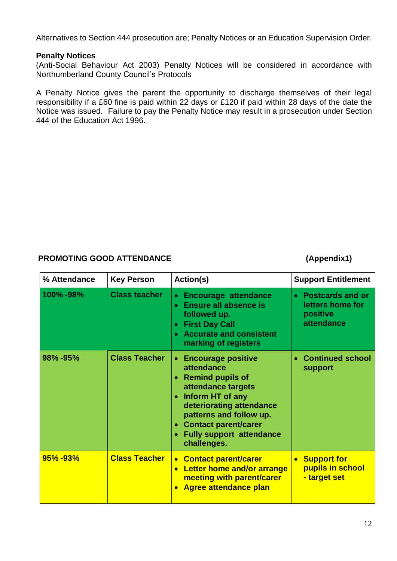Alternatives to Section 444 prosecution are; Penalty Notices or an Education Supervision Order.

#### **Penalty Notices**

(Anti-Social Behaviour Act 2003) Penalty Notices will be considered in accordance with Northumberland County Council's Protocols

A Penalty Notice gives the parent the opportunity to discharge themselves of their legal responsibility if a £60 fine is paid within 22 days or £120 if paid within 28 days of the date the Notice was issued. Failure to pay the Penalty Notice may result in a prosecution under Section 444 of the Education Act 1996.

#### **PROMOTING GOOD ATTENDANCE (Appendix1)**

| % Attendance | <b>Key Person</b>    | <b>Action(s)</b>                                                                                                                                                                                                                                                  | <b>Support Entitlement</b>                                       |
|--------------|----------------------|-------------------------------------------------------------------------------------------------------------------------------------------------------------------------------------------------------------------------------------------------------------------|------------------------------------------------------------------|
| 100%-98%     | <b>Class teacher</b> | <b>Encourage attendance</b><br>$\bullet$<br><b>Ensure all absence is</b><br>$\bullet$<br>followed up.<br><b>First Day Call</b><br><b>Accurate and consistent</b><br>marking of registers                                                                          | • Postcards and or<br>letters home for<br>positive<br>attendance |
| 98%-95%      | <b>Class Teacher</b> | <b>Encourage positive</b><br>$\bullet$<br>attendance<br><b>Remind pupils of</b><br>attendance targets<br>Inform HT of any<br>deteriorating attendance<br>patterns and follow up.<br><b>Contact parent/carer</b><br><b>Fully support attendance</b><br>challenges. | • Continued school<br>support                                    |
| 95%-93%      | <b>Class Teacher</b> | • Contact parent/carer<br><b>Letter home and/or arrange</b><br>meeting with parent/carer<br><b>Agree attendance plan</b>                                                                                                                                          | <b>Support for</b><br>pupils in school<br>- target set           |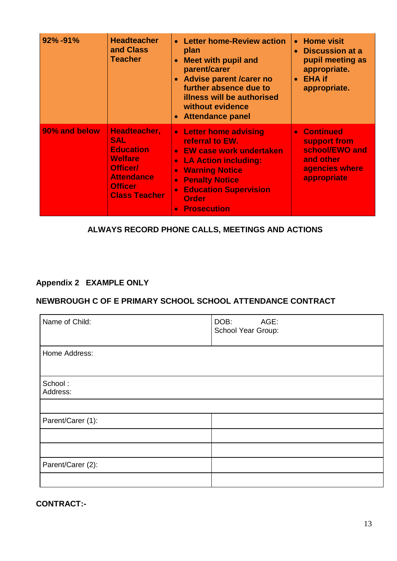| 92%-91%       | <b>Headteacher</b><br>and Class<br><b>Teacher</b>                                                                                           | <b>Letter home-Review action</b><br>$\bullet$<br>plan<br><b>Meet with pupil and</b><br>$\bullet$<br>parent/carer<br><b>Advise parent /carer no</b><br>further absence due to<br>illness will be authorised<br>without evidence<br><b>Attendance panel</b>                      | <b>Home visit</b><br><b>Discussion at a</b><br>$\bullet$<br>pupil meeting as<br>appropriate.<br>• EHA if<br>appropriate. |
|---------------|---------------------------------------------------------------------------------------------------------------------------------------------|--------------------------------------------------------------------------------------------------------------------------------------------------------------------------------------------------------------------------------------------------------------------------------|--------------------------------------------------------------------------------------------------------------------------|
| 90% and below | Headteacher,<br><b>SAL</b><br><b>Education</b><br><b>Welfare</b><br>Officer/<br><b>Attendance</b><br><b>Officer</b><br><b>Class Teacher</b> | • Letter home advising<br>referral to EW.<br><b>EW case work undertaken</b><br>$\bullet$<br><b>LA Action including:</b><br>$\bullet$<br><b>Warning Notice</b><br><b>Penalty Notice</b><br>ö<br><b>Education Supervision</b><br>$\bullet$<br><b>Order</b><br><b>Prosecution</b> | • Continued<br>support from<br>school/EWO and<br>and other<br>agencies where<br>appropriate                              |

#### **ALWAYS RECORD PHONE CALLS, MEETINGS AND ACTIONS**

### **Appendix 2 EXAMPLE ONLY**

#### **NEWBROUGH C OF E PRIMARY SCHOOL SCHOOL ATTENDANCE CONTRACT**

| Name of Child:      | AGE:<br>DOB:<br>School Year Group: |
|---------------------|------------------------------------|
| Home Address:       |                                    |
| School:<br>Address: |                                    |
|                     |                                    |
| Parent/Carer (1):   |                                    |
|                     |                                    |
|                     |                                    |
| Parent/Carer (2):   |                                    |
|                     |                                    |

**CONTRACT:-**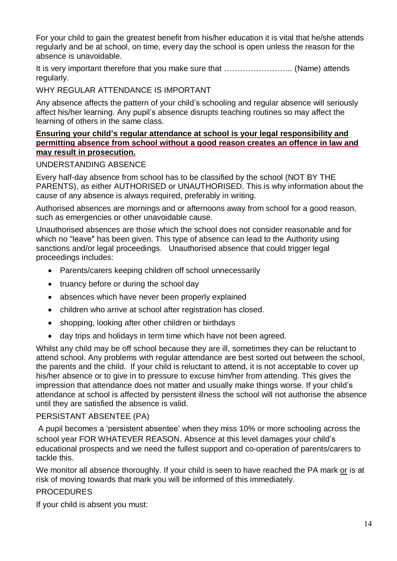For your child to gain the greatest benefit from his/her education it is vital that he/she attends regularly and be at school, on time, every day the school is open unless the reason for the absence is unavoidable.

It is very important therefore that you make sure that …………………….. (Name) attends regularly.

WHY REGULAR ATTENDANCE IS IMPORTANT

Any absence affects the pattern of your child's schooling and regular absence will seriously affect his/her learning. Any pupil's absence disrupts teaching routines so may affect the learning of others in the same class.

#### **Ensuring your child's regular attendance at school is your legal responsibility and permitting absence from school without a good reason creates an offence in law and may result in prosecution.**

#### UNDERSTANDING ABSENCE

Every half-day absence from school has to be classified by the school (NOT BY THE PARENTS), as either AUTHORISED or UNAUTHORISED. This is why information about the cause of any absence is always required, preferably in writing.

Authorised absences are mornings and or afternoons away from school for a good reason, such as emergencies or other unavoidable cause.

Unauthorised absences are those which the school does not consider reasonable and for which no "leave" has been given. This type of absence can lead to the Authority using sanctions and/or legal proceedings. Unauthorised absence that could trigger legal proceedings includes:

- Parents/carers keeping children off school unnecessarily
- truancy before or during the school day
- absences which have never been properly explained
- children who arrive at school after registration has closed.
- shopping, looking after other children or birthdays
- day trips and holidays in term time which have not been agreed.

Whilst any child may be off school because they are ill, sometimes they can be reluctant to attend school. Any problems with regular attendance are best sorted out between the school, the parents and the child. If your child is reluctant to attend, it is not acceptable to cover up his/her absence or to give in to pressure to excuse him/her from attending. This gives the impression that attendance does not matter and usually make things worse. If your child's attendance at school is affected by persistent illness the school will not authorise the absence until they are satisfied the absence is valid.

#### PERSISTANT ABSENTEE (PA)

A pupil becomes a 'persistent absentee' when they miss 10% or more schooling across the school year FOR WHATEVER REASON. Absence at this level damages your child's educational prospects and we need the fullest support and co-operation of parents/carers to tackle this.

We monitor all absence thoroughly. If your child is seen to have reached the PA mark or is at risk of moving towards that mark you will be informed of this immediately.

#### PROCEDURES

If your child is absent you must: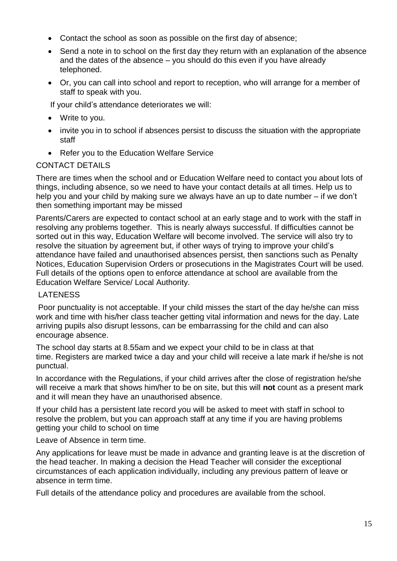- Contact the school as soon as possible on the first day of absence;
- Send a note in to school on the first day they return with an explanation of the absence and the dates of the absence – you should do this even if you have already telephoned.
- Or, you can call into school and report to reception, who will arrange for a member of staff to speak with you.

If your child's attendance deteriorates we will:

- Write to you.
- invite you in to school if absences persist to discuss the situation with the appropriate staff
- Refer you to the Education Welfare Service

#### CONTACT DETAILS

There are times when the school and or Education Welfare need to contact you about lots of things, including absence, so we need to have your contact details at all times. Help us to help you and your child by making sure we always have an up to date number – if we don't then something important may be missed

Parents/Carers are expected to contact school at an early stage and to work with the staff in resolving any problems together. This is nearly always successful. If difficulties cannot be sorted out in this way, Education Welfare will become involved. The service will also try to resolve the situation by agreement but, if other ways of trying to improve your child's attendance have failed and unauthorised absences persist, then sanctions such as Penalty Notices, Education Supervision Orders or prosecutions in the Magistrates Court will be used. Full details of the options open to enforce attendance at school are available from the Education Welfare Service/ Local Authority.

#### LATENESS

Poor punctuality is not acceptable. If your child misses the start of the day he/she can miss work and time with his/her class teacher getting vital information and news for the day. Late arriving pupils also disrupt lessons, can be embarrassing for the child and can also encourage absence.

The school day starts at 8.55am and we expect your child to be in class at that time. Registers are marked twice a day and your child will receive a late mark if he/she is not punctual.

In accordance with the Regulations, if your child arrives after the close of registration he/she will receive a mark that shows him/her to be on site, but this will **not** count as a present mark and it will mean they have an unauthorised absence.

If your child has a persistent late record you will be asked to meet with staff in school to resolve the problem, but you can approach staff at any time if you are having problems getting your child to school on time

Leave of Absence in term time.

Any applications for leave must be made in advance and granting leave is at the discretion of the head teacher. In making a decision the Head Teacher will consider the exceptional circumstances of each application individually, including any previous pattern of leave or absence in term time.

Full details of the attendance policy and procedures are available from the school.